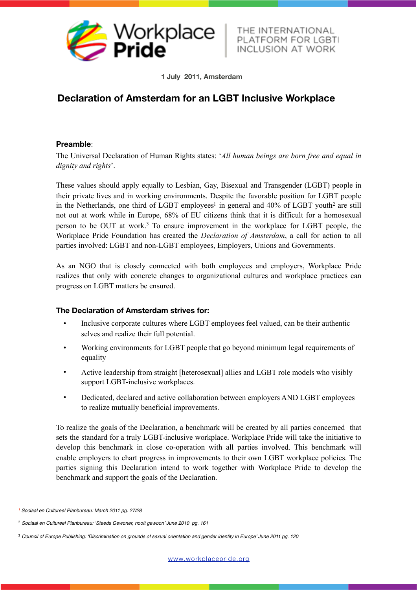

<span id="page-0-4"></span>THE INTERNATIONAL PLATFORM FOR LGBT

<span id="page-0-3"></span>**1 July 2011, Amsterdam**

## **Declaration of Amsterdam for an LGBT Inclusive Workplace**

## **Preamble**:

The Universal Declaration of Human Rights states: '*All human beings are born free and equal in dignity and rights*'.

These values should apply equally to Lesbian, Gay, Bisexual and Transgender (LGBT) people in their private lives and in working environments. Despite the favorable position for LGBT people in the Netherland[s](#page-0-0), one third of LGBT employees<sup>[1](#page-0-0)</sup> in general and 40% of LGBT youth<sup>2</sup> are still not out at work while in Europe, 68% of EU citizens think that it is difficult for a homosexual person to be OUT at work.<sup>[3](#page-0-2)</sup> To ensure improvement in the workplace for LGBT people, the Workplace Pride Foundation has created the *Declaration of Amsterdam*, a call for action to all parties involved: LGBT and non-LGBT employees, Employers, Unions and Governments.

<span id="page-0-5"></span>As an NGO that is closely connected with both employees and employers, Workplace Pride realizes that only with concrete changes to organizational cultures and workplace practices can progress on LGBT matters be ensured.

## **The Declaration of Amsterdam strives for:**

- Inclusive corporate cultures where LGBT employees feel valued, can be their authentic selves and realize their full potential.
- Working environments for LGBT people that go beyond minimum legal requirements of equality
- Active leadership from straight [heterosexual] allies and LGBT role models who visibly support LGBT-inclusive workplaces.
- Dedicated, declared and active collaboration between employers AND LGBT employees to realize mutually beneficial improvements.

To realize the goals of the Declaration, a benchmark will be created by all parties concerned that sets the standard for a truly LGBT-inclusive workplace. Workplace Pride will take the initiative to develop this benchmark in close co-operation with all parties involved. This benchmark will enable employers to chart progress in improvements to their own LGBT workplace policies. The parties signing this Declaration intend to work together with Workplace Pride to develop the benchmark and support the goals of the Declaration.

<span id="page-0-0"></span>*Sociaal en Cultureel Planbureau: March 2011 pg. 27/28 [1](#page-0-3)*

<span id="page-0-1"></span>*Sociaal en Cultureel Planbureau: 'Steeds Gewoner, nooit gewoon' June 2010 pg. 161* [2](#page-0-4)

<span id="page-0-2"></span>*Council of Europe Publishing: 'Discrimination on grounds of sexual orientation and gender identity in Europe' June 2011 pg. 120* [3](#page-0-5)